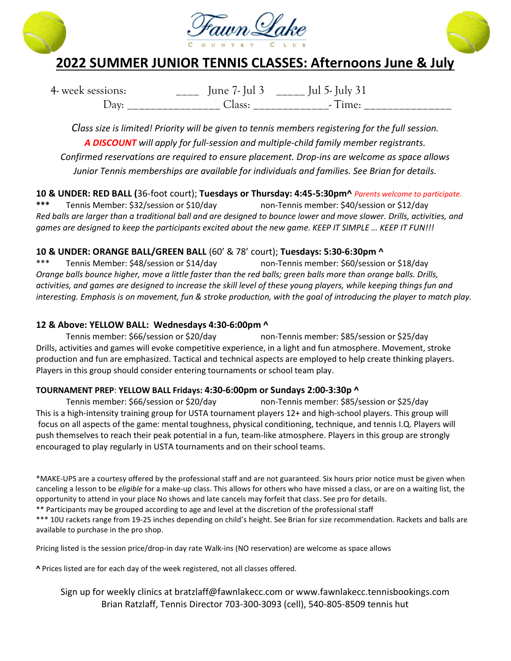





# 2022 SUMMER JUNIOR TENNIS CLASSES: Afternoons June & July

4- week sessions:  $\frac{1}{2}$  June 7- Jul 3  $\frac{1}{2}$  Jul 5- July 31 Day: \_\_\_\_\_\_\_\_\_\_\_\_\_\_\_\_ Class: \_\_\_\_\_\_\_\_\_\_\_\_\_- Time: \_\_\_\_\_\_\_\_\_\_\_\_\_\_\_

Class size is limited! Priority will be given to tennis members registering for the full session. A DISCOUNT will apply for full-session and multiple-child family member registrants. Confirmed reservations are required to ensure placement. Drop-ins are welcome as space allows Junior Tennis memberships are available for individuals and families. See Brian for details.

10 & UNDER: RED BALL (36-foot court); Tuesdays or Thursday: 4:45-5:30pm^ Parents welcome to participate. \*\*\* Tennis Member: \$32/session or \$10/day non-Tennis member: \$40/session or \$12/day Red balls are larger than a traditional ball and are designed to bounce lower and move slower. Drills, activities, and games are designed to keep the participants excited about the new game. KEEP IT SIMPLE … KEEP IT FUN!!!

### 10 & UNDER: ORANGE BALL/GREEN BALL (60' & 78' court); Tuesdays: 5:30-6:30pm ^

\*\*\* Tennis Member: \$48/session or \$14/day non-Tennis member: \$60/session or \$18/day Orange balls bounce higher, move a little faster than the red balls; green balls more than orange balls. Drills, activities, and games are designed to increase the skill level of these young players, while keeping things fun and interesting. Emphasis is on movement, fun & stroke production, with the goal of introducing the player to match play.

#### 12 & Above: YELLOW BALL: Wednesdays 4:30-6:00pm ^

Tennis member: \$66/session or \$20/day non-Tennis member: \$85/session or \$25/day Drills, activities and games will evoke competitive experience, in a light and fun atmosphere. Movement, stroke production and fun are emphasized. Tactical and technical aspects are employed to help create thinking players. Players in this group should consider entering tournaments or school team play.

#### TOURNAMENT PREP: YELLOW BALL Fridays: 4:30-6:00pm or Sundays 2:00-3:30p ^

 Tennis member: \$66/session or \$20/day non-Tennis member: \$85/session or \$25/day This is a high-intensity training group for USTA tournament players 12+ and high-school players. This group will focus on all aspects of the game: mental toughness, physical conditioning, technique, and tennis I.Q. Players will push themselves to reach their peak potential in a fun, team-like atmosphere. Players in this group are strongly encouraged to play regularly in USTA tournaments and on their school teams.

\*MAKE-UPS are a courtesy offered by the professional staff and are not guaranteed. Six hours prior notice must be given when canceling a lesson to be *eligible* for a make-up class. This allows for others who have missed a class, or are on a waiting list, the opportunity to attend in your place No shows and late cancels may forfeit that class. See pro for details.

\*\* Participants may be grouped according to age and level at the discretion of the professional staff

\*\*\* 10U rackets range from 19-25 inches depending on child's height. See Brian for size recommendation. Rackets and balls are available to purchase in the pro shop.

Pricing listed is the session price/drop-in day rate Walk-ins (NO reservation) are welcome as space allows

^ Prices listed are for each day of the week registered, not all classes offered.

#### Sign up for weekly clinics at bratzlaff@fawnlakecc.com or www.fawnlakecc.tennisbookings.com Brian Ratzlaff, Tennis Director 703-300-3093 (cell), 540-805-8509 tennis hut